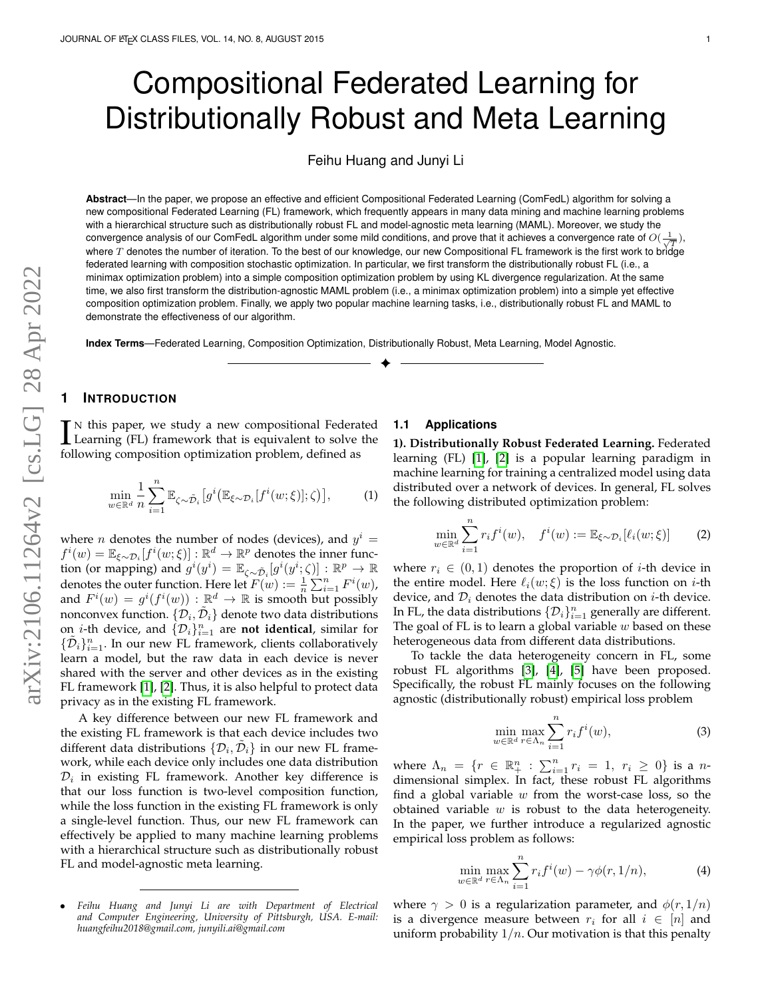# Compositional Federated Learning for Distributionally Robust and Meta Learning

Feihu Huang and Junyi Li

**Abstract**—In the paper, we propose an effective and efficient Compositional Federated Learning (ComFedL) algorithm for solving a new compositional Federated Learning (FL) framework, which frequently appears in many data mining and machine learning problems with a hierarchical structure such as distributionally robust FL and model-agnostic meta learning (MAML). Moreover, we study the convergence analysis of our ComFedL algorithm under some mild conditions, and prove that it achieves a convergence rate of  $O(\frac{1}{\sqrt{T}})$ , where  $T$  denotes the number of iteration. To the best of our knowledge, our new Compositional FL framework is the first work to bridge federated learning with composition stochastic optimization. In particular, we first transform the distributionally robust FL (i.e., a minimax optimization problem) into a simple composition optimization problem by using KL divergence regularization. At the same time, we also first transform the distribution-agnostic MAML problem (i.e., a minimax optimization problem) into a simple yet effective composition optimization problem. Finally, we apply two popular machine learning tasks, i.e., distributionally robust FL and MAML to demonstrate the effectiveness of our algorithm.

✦

**Index Terms**—Federated Learning, Composition Optimization, Distributionally Robust, Meta Learning, Model Agnostic.

# **1 INTRODUCTION**

IN this paper, we study a new compositional Federated<br>Learning (FL) framework that is equivalent to solve the<br>following composition optimization problem, defined as Learning (FL) framework that is equivalent to solve the following composition optimization problem, defined as

$$
\min_{w \in \mathbb{R}^d} \frac{1}{n} \sum_{i=1}^n \mathbb{E}_{\zeta \sim \tilde{\mathcal{D}}_i} \left[ g^i \left( \mathbb{E}_{\xi \sim \mathcal{D}_i} [f^i(w; \xi)]; \zeta \right) \right],\tag{1}
$$

where *n* denotes the number of nodes (devices), and  $y^i =$  $f^i(w) = \mathbb{E}_{\xi \sim \mathcal{D}_i}[f^i(w;\xi)] : \mathbb{R}^d \to \mathbb{R}^p$  denotes the inner function (or mapping) and  $g^i(y^i) = \mathbb{E}_{\zeta \sim \tilde{\mathcal{D}}_i}[g^i(y^i;\zeta)] : \mathbb{R}^p \to \mathbb{R}$ denotes the outer function. Here let  $F(w) := \frac{1}{n} \sum_{i=1}^{n} F^{i}(w)$ , and  $F^i(w) = g^i(f^i(w)) : \mathbb{R}^d \to \mathbb{R}$  is smooth but possibly nonconvex function.  $\{\mathcal{D}_i,\tilde{\mathcal{D}}_i\}$  denote two data distributions on *i*-th device, and  $\{\mathcal{D}_i\}_{i=1}^n$  are **not identical**, similar for  $\{\tilde{\mathcal{D}}_i\}_{i=1}^n$ . In our new FL framework, clients collaboratively learn a model, but the raw data in each device is never shared with the server and other devices as in the existing FL framework [\[1\]](#page-8-0), [\[2\]](#page-8-1). Thus, it is also helpful to protect data privacy as in the existing FL framework.

A key difference between our new FL framework and the existing FL framework is that each device includes two different data distributions  $\{\mathcal{D}_i, \tilde{\mathcal{D}}_i\}$  in our new FL framework, while each device only includes one data distribution  $\mathcal{D}_i$  in existing FL framework. Another key difference is that our loss function is two-level composition function, while the loss function in the existing FL framework is only a single-level function. Thus, our new FL framework can effectively be applied to many machine learning problems with a hierarchical structure such as distributionally robust FL and model-agnostic meta learning.

#### • *Feihu Huang and Junyi Li are with Department of Electrical and Computer Engineering, University of Pittsburgh, USA. E-mail: huangfeihu2018@gmail.com, junyili.ai@gmail.com*

#### **1.1 Applications**

<span id="page-0-1"></span>**1). Distributionally Robust Federated Learning.** Federated learning (FL) [\[1\]](#page-8-0), [\[2\]](#page-8-1) is a popular learning paradigm in machine learning for training a centralized model using data distributed over a network of devices. In general, FL solves the following distributed optimization problem:

<span id="page-0-2"></span>
$$
\min_{w \in \mathbb{R}^d} \sum_{i=1}^n r_i f^i(w), \quad f^i(w) := \mathbb{E}_{\xi \sim \mathcal{D}_i} [\ell_i(w; \xi)] \tag{2}
$$

where  $r_i \in (0,1)$  denotes the proportion of *i*-th device in the entire model. Here  $\ell_i(w; \xi)$  is the loss function on *i*-th device, and  $\mathcal{D}_i$  denotes the data distribution on *i*-th device. In FL, the data distributions  $\{\mathcal{D}_i\}_{i=1}^n$  generally are different. The goal of FL is to learn a global variable  $w$  based on these heterogeneous data from different data distributions.

To tackle the data heterogeneity concern in FL, some robust FL algorithms [\[3\]](#page-8-2), [\[4\]](#page-8-3), [\[5\]](#page-8-4) have been proposed. Specifically, the robust FL mainly focuses on the following agnostic (distributionally robust) empirical loss problem

$$
\min_{w \in \mathbb{R}^d} \max_{r \in \Lambda_n} \sum_{i=1}^n r_i f^i(w),\tag{3}
$$

where  $\Lambda_n = \{r \in \mathbb{R}^n_+ : \sum_{i=1}^n r_i = 1, r_i \ge 0\}$  is a ndimensional simplex. In fact, these robust FL algorithms find a global variable  $w$  from the worst-case loss, so the obtained variable  $w$  is robust to the data heterogeneity. In the paper, we further introduce a regularized agnostic empirical loss problem as follows:

<span id="page-0-0"></span>
$$
\min_{w \in \mathbb{R}^d} \max_{r \in \Lambda_n} \sum_{i=1}^n r_i f^i(w) - \gamma \phi(r, 1/n), \tag{4}
$$

where  $\gamma > 0$  is a regularization parameter, and  $\phi(r, 1/n)$ is a divergence measure between  $r_i$  for all  $i \in [n]$  and uniform probability  $1/n$ . Our motivation is that this penalty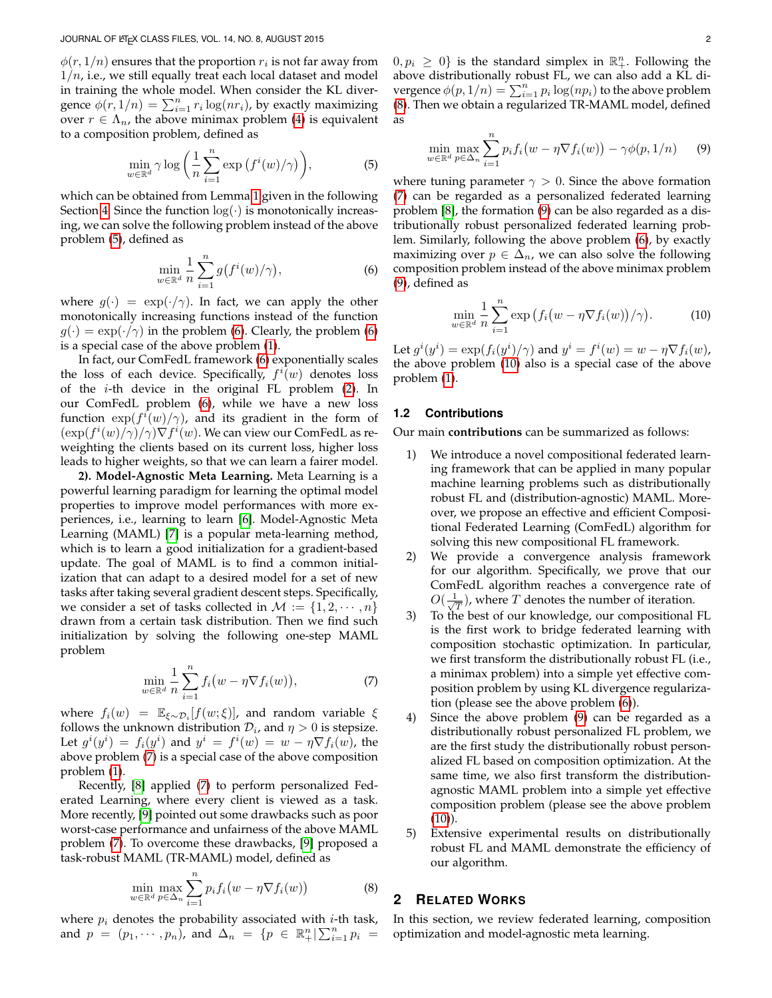$\phi(r,1/n)$  ensures that the proportion  $r_i$  is not far away from  $1/n$ , i.e., we still equally treat each local dataset and model in training the whole model. When consider the KL divergence  $\phi(r,1/n) = \sum_{i=1}^{n} r_i \log(nr_i)$ , by exactly maximizing over  $r \in \Lambda_n$ , the above minimax problem [\(4\)](#page-0-0) is equivalent to a composition problem, defined as

$$
\min_{w \in \mathbb{R}^d} \gamma \log \left( \frac{1}{n} \sum_{i=1}^n \exp \left( f^i(w) / \gamma \right) \right),\tag{5}
$$

which can be obtained from Lemma [1](#page-3-0) given in the following Section [4.](#page-3-1) Since the function  $log(·)$  is monotonically increasing, we can solve the following problem instead of the above problem [\(5\)](#page-1-0), defined as

$$
\min_{w \in \mathbb{R}^d} \frac{1}{n} \sum_{i=1}^n g(f^i(w)/\gamma), \tag{6}
$$

where  $g(\cdot) = \exp(\cdot/\gamma)$ . In fact, we can apply the other monotonically increasing functions instead of the function  $g(\cdot) = \exp(\cdot/\gamma)$  in the problem [\(6\)](#page-1-1). Clearly, the problem (6) is a special case of the above problem [\(1\)](#page-0-1).

In fact, our ComFedL framework [\(6\)](#page-1-1) exponentially scales the loss of each device. Specifically,  $f^i(w)$  denotes loss of the *i*-th device in the original FL problem  $(2)$ . In our ComFedL problem [\(6\)](#page-1-1), while we have a new loss function  $\exp(f^i(w)/\gamma)$ , and its gradient in the form of  $(\exp(f^i(w)/\gamma)/\gamma) \nabla f^i(w)$ . We can view our ComFedL as reweighting the clients based on its current loss, higher loss leads to higher weights, so that we can learn a fairer model.

**2). Model-Agnostic Meta Learning.** Meta Learning is a powerful learning paradigm for learning the optimal model properties to improve model performances with more experiences, i.e., learning to learn [\[6\]](#page-8-5). Model-Agnostic Meta Learning (MAML) [\[7\]](#page-8-6) is a popular meta-learning method, which is to learn a good initialization for a gradient-based update. The goal of MAML is to find a common initialization that can adapt to a desired model for a set of new tasks after taking several gradient descent steps. Specifically, we consider a set of tasks collected in  $M := \{1, 2, \dots, n\}$ drawn from a certain task distribution. Then we find such initialization by solving the following one-step MAML problem

$$
\min_{w \in \mathbb{R}^d} \frac{1}{n} \sum_{i=1}^n f_i(w - \eta \nabla f_i(w)),\tag{7}
$$

where  $f_i(w) = \mathbb{E}_{\xi \sim \mathcal{D}_i}[f(w; \xi)]$ , and random variable  $\xi$ follows the unknown distribution  $\mathcal{D}_i$ , and  $\eta > 0$  is stepsize. Let  $g^i(y^i) = f_i(y^i)$  and  $y^i = f^i(w) = w - \eta \nabla f_i(w)$ , the above problem [\(7\)](#page-1-2) is a special case of the above composition problem [\(1\)](#page-0-1).

Recently, [\[8\]](#page-8-7) applied [\(7\)](#page-1-2) to perform personalized Federated Learning, where every client is viewed as a task. More recently, [\[9\]](#page-8-8) pointed out some drawbacks such as poor worst-case performance and unfairness of the above MAML problem [\(7\)](#page-1-2). To overcome these drawbacks, [\[9\]](#page-8-8) proposed a task-robust MAML (TR-MAML) model, defined as

$$
\min_{w \in \mathbb{R}^d} \max_{p \in \Delta_n} \sum_{i=1}^n p_i f_i(w - \eta \nabla f_i(w)) \tag{8}
$$

where  $p_i$  denotes the probability associated with  $i$ -th task, and  $p = (p_1, \dots, p_n)$ , and  $\Delta_n = \{p \in \mathbb{R}^n_+ | \sum_{i=1}^n p_i =$ 

 $(0, p_i \geq 0)$  is the standard simplex in  $\mathbb{R}^n_+$ . Following the above distributionally robust FL, we can also add a KL divergence  $\phi(p,1/n) = \sum_{i=1}^n p_i \log(np_i)$  to the above problem [\(8\)](#page-1-3). Then we obtain a regularized TR-MAML model, defined as

<span id="page-1-4"></span>
$$
\min_{w \in \mathbb{R}^d} \max_{p \in \Delta_n} \sum_{i=1}^n p_i f_i(w - \eta \nabla f_i(w)) - \gamma \phi(p, 1/n) \tag{9}
$$

<span id="page-1-1"></span><span id="page-1-0"></span>where tuning parameter  $\gamma > 0$ . Since the above formation [\(7\)](#page-1-2) can be regarded as a personalized federated learning problem [\[8\]](#page-8-7), the formation [\(9\)](#page-1-4) can be also regarded as a distributionally robust personalized federated learning problem. Similarly, following the above problem [\(6\)](#page-1-1), by exactly maximizing over  $p \in \Delta_n$ , we can also solve the following composition problem instead of the above minimax problem [\(9\)](#page-1-4), defined as

<span id="page-1-5"></span>
$$
\min_{w \in \mathbb{R}^d} \frac{1}{n} \sum_{i=1}^n \exp\left(f_i(w - \eta \nabla f_i(w))/\gamma\right). \tag{10}
$$

Let  $g^i(y^i) = \exp(f_i(y^i)/\gamma)$  and  $y^i = f^i(w) = w - \eta \nabla f_i(w)$ , the above problem [\(10\)](#page-1-5) also is a special case of the above problem [\(1\)](#page-0-1).

# **1.2 Contributions**

Our main **contributions** can be summarized as follows:

- 1) We introduce a novel compositional federated learning framework that can be applied in many popular machine learning problems such as distributionally robust FL and (distribution-agnostic) MAML. Moreover, we propose an effective and efficient Compositional Federated Learning (ComFedL) algorithm for solving this new compositional FL framework.
- 2) We provide a convergence analysis framework for our algorithm. Specifically, we prove that our ComFedL algorithm reaches a convergence rate of  $O(\frac{1}{\sqrt{n}})$  $\frac{1}{T}$ ), where T denotes the number of iteration.
- 3) To the best of our knowledge, our compositional FL is the first work to bridge federated learning with composition stochastic optimization. In particular, we first transform the distributionally robust FL (i.e., a minimax problem) into a simple yet effective composition problem by using KL divergence regularization (please see the above problem [\(6\)](#page-1-1)).
- <span id="page-1-2"></span>4) Since the above problem [\(9\)](#page-1-4) can be regarded as a distributionally robust personalized FL problem, we are the first study the distributionally robust personalized FL based on composition optimization. At the same time, we also first transform the distributionagnostic MAML problem into a simple yet effective composition problem (please see the above problem  $(10)$ ).
- 5) Extensive experimental results on distributionally robust FL and MAML demonstrate the efficiency of our algorithm.

## <span id="page-1-3"></span>**2 RELATED WORKS**

In this section, we review federated learning, composition optimization and model-agnostic meta learning.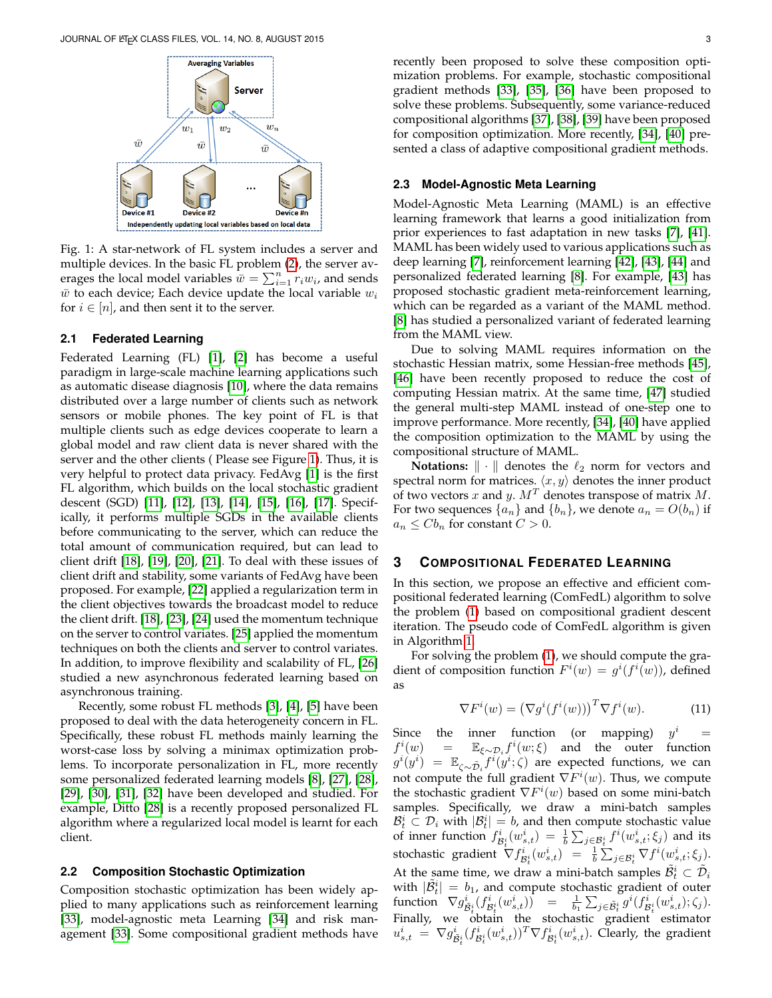<span id="page-2-0"></span>

Fig. 1: A star-network of FL system includes a server and multiple devices. In the basic FL problem [\(2\)](#page-0-2), the server averages the local model variables  $\bar{w} = \sum_{i=1}^{n} r_i w_i$ , and sends  $\bar{w}$  to each device; Each device update the local variable  $w_i$ for  $i \in [n]$ , and then sent it to the server.

### **2.1 Federated Learning**

Federated Learning (FL) [\[1\]](#page-8-0), [\[2\]](#page-8-1) has become a useful paradigm in large-scale machine learning applications such as automatic disease diagnosis [\[10\]](#page-8-9), where the data remains distributed over a large number of clients such as network sensors or mobile phones. The key point of FL is that multiple clients such as edge devices cooperate to learn a global model and raw client data is never shared with the server and the other clients ( Please see Figure [1\)](#page-2-0). Thus, it is very helpful to protect data privacy. FedAvg [\[1\]](#page-8-0) is the first FL algorithm, which builds on the local stochastic gradient descent (SGD) [\[11\]](#page-8-10), [\[12\]](#page-8-11), [\[13\]](#page-8-12), [\[14\]](#page-8-13), [\[15\]](#page-8-14), [\[16\]](#page-8-15), [\[17\]](#page-8-16). Specifically, it performs multiple SGDs in the available clients before communicating to the server, which can reduce the total amount of communication required, but can lead to client drift [\[18\]](#page-8-17), [\[19\]](#page-8-18), [\[20\]](#page-8-19), [\[21\]](#page-8-20). To deal with these issues of client drift and stability, some variants of FedAvg have been proposed. For example, [\[22\]](#page-8-21) applied a regularization term in the client objectives towards the broadcast model to reduce the client drift. [\[18\]](#page-8-17), [\[23\]](#page-8-22), [\[24\]](#page-8-23) used the momentum technique on the server to control variates. [\[25\]](#page-8-24) applied the momentum techniques on both the clients and server to control variates. In addition, to improve flexibility and scalability of FL, [\[26\]](#page-8-25) studied a new asynchronous federated learning based on asynchronous training.

Recently, some robust FL methods [\[3\]](#page-8-2), [\[4\]](#page-8-3), [\[5\]](#page-8-4) have been proposed to deal with the data heterogeneity concern in FL. Specifically, these robust FL methods mainly learning the worst-case loss by solving a minimax optimization problems. To incorporate personalization in FL, more recently some personalized federated learning models [\[8\]](#page-8-7), [\[27\]](#page-8-26), [\[28\]](#page-8-27), [\[29\]](#page-8-28), [\[30\]](#page-8-29), [\[31\]](#page-8-30), [\[32\]](#page-9-0) have been developed and studied. For example, Ditto [\[28\]](#page-8-27) is a recently proposed personalized FL algorithm where a regularized local model is learnt for each client.

#### **2.2 Composition Stochastic Optimization**

Composition stochastic optimization has been widely applied to many applications such as reinforcement learning [\[33\]](#page-9-1), model-agnostic meta Learning [\[34\]](#page-9-2) and risk management [\[33\]](#page-9-1). Some compositional gradient methods have recently been proposed to solve these composition optimization problems. For example, stochastic compositional gradient methods [\[33\]](#page-9-1), [\[35\]](#page-9-3), [\[36\]](#page-9-4) have been proposed to solve these problems. Subsequently, some variance-reduced compositional algorithms [\[37\]](#page-9-5), [\[38\]](#page-9-6), [\[39\]](#page-9-7) have been proposed for composition optimization. More recently, [\[34\]](#page-9-2), [\[40\]](#page-9-8) presented a class of adaptive compositional gradient methods.

#### **2.3 Model-Agnostic Meta Learning**

Model-Agnostic Meta Learning (MAML) is an effective learning framework that learns a good initialization from prior experiences to fast adaptation in new tasks [\[7\]](#page-8-6), [\[41\]](#page-9-9). MAML has been widely used to various applications such as deep learning [\[7\]](#page-8-6), reinforcement learning [\[42\]](#page-9-10), [\[43\]](#page-9-11), [\[44\]](#page-9-12) and personalized federated learning [\[8\]](#page-8-7). For example, [\[43\]](#page-9-11) has proposed stochastic gradient meta-reinforcement learning, which can be regarded as a variant of the MAML method. [\[8\]](#page-8-7) has studied a personalized variant of federated learning from the MAML view.

Due to solving MAML requires information on the stochastic Hessian matrix, some Hessian-free methods [\[45\]](#page-9-13), [\[46\]](#page-9-14) have been recently proposed to reduce the cost of computing Hessian matrix. At the same time, [\[47\]](#page-9-15) studied the general multi-step MAML instead of one-step one to improve performance. More recently, [\[34\]](#page-9-2), [\[40\]](#page-9-8) have applied the composition optimization to the MAML by using the compositional structure of MAML.

**Notations:**  $\|\cdot\|$  denotes the  $\ell_2$  norm for vectors and spectral norm for matrices.  $\langle x, y \rangle$  denotes the inner product of two vectors x and y.  $M<sup>T</sup>$  denotes transpose of matrix M. For two sequences  $\{a_n\}$  and  $\{b_n\}$ , we denote  $a_n = O(b_n)$  if  $a_n \leq C b_n$  for constant  $C > 0$ .

# **3 COMPOSITIONAL FEDERATED LEARNING**

In this section, we propose an effective and efficient compositional federated learning (ComFedL) algorithm to solve the problem [\(1\)](#page-0-1) based on compositional gradient descent iteration. The pseudo code of ComFedL algorithm is given in Algorithm [1.](#page-3-2)

For solving the problem [\(1\)](#page-0-1), we should compute the gradient of composition function  $F^{i}(w) = g^{i}(f^{i}(w))$ , defined as

$$
\nabla F^{i}(w) = (\nabla g^{i}(f^{i}(w)))^{T} \nabla f^{i}(w).
$$
 (11)

Since the inner function (or mapping)  $y^i$  $=$  $f^i$  $(w)$  =  $\mathbb{E}_{\xi \sim \mathcal{D}_i} f^i(w;\xi)$  and the outer function  $g^i(y^i) = \mathbb{E}_{\zeta \sim \tilde{\mathcal{D}}_i} f^i(y^i;\zeta)$  are expected functions, we can not compute the full gradient  $\nabla F^{i}(w)$ . Thus, we compute the stochastic gradient  $\nabla F^{i}(w)$  based on some mini-batch samples. Specifically, we draw a mini-batch samples  $\mathcal{B}_t^i \subset \mathcal{D}_i$  with  $|\mathcal{B}_t^i| = b$ , and then compute stochastic value of inner function  $f_{\mathcal{B}_t^i}^i(w_{s,t}^i) = \frac{1}{b} \sum_{j \in \mathcal{B}_t^i} f^i(w_{s,t}^i; \xi_j)$  and its stochastic gradient  $\nabla f^i_{\mathcal{B}_t^i}(w^i_{s,t}) = \frac{1}{b}\sum_{j \in \mathcal{B}_t^i}\nabla f^i(w^i_{s,t}; \xi_j)$ . At the same time, we draw a mini-batch samples  $\tilde{\mathcal{B}}_t^i \subset \tilde{\mathcal{D}}_i$ with  $|\tilde{\mathcal{B}}_t^i| = b_1$ , and compute stochastic gradient of outer function  $\nabla g_{\tilde{B}^i_t}^i(f_{B^i_t}^i(w_{s,t}^i)) = \frac{1}{b_1} \sum_{j \in \tilde{B}^i_t} g^i(f_{B^i_t}^i(w_{s,t}^i); \zeta_j).$ Finally, we obtain the stochastic gradient estimator  $u^i_{s,t} \ = \ \nabla g^i_{\tilde{\mathcal{B}}^i_t}(f^i_{\mathcal{B}^i_t}(w^i_{s,t}))^T \nabla f^i_{\mathcal{B}^i_t}(w^i_{s,t}).$  Clearly, the gradient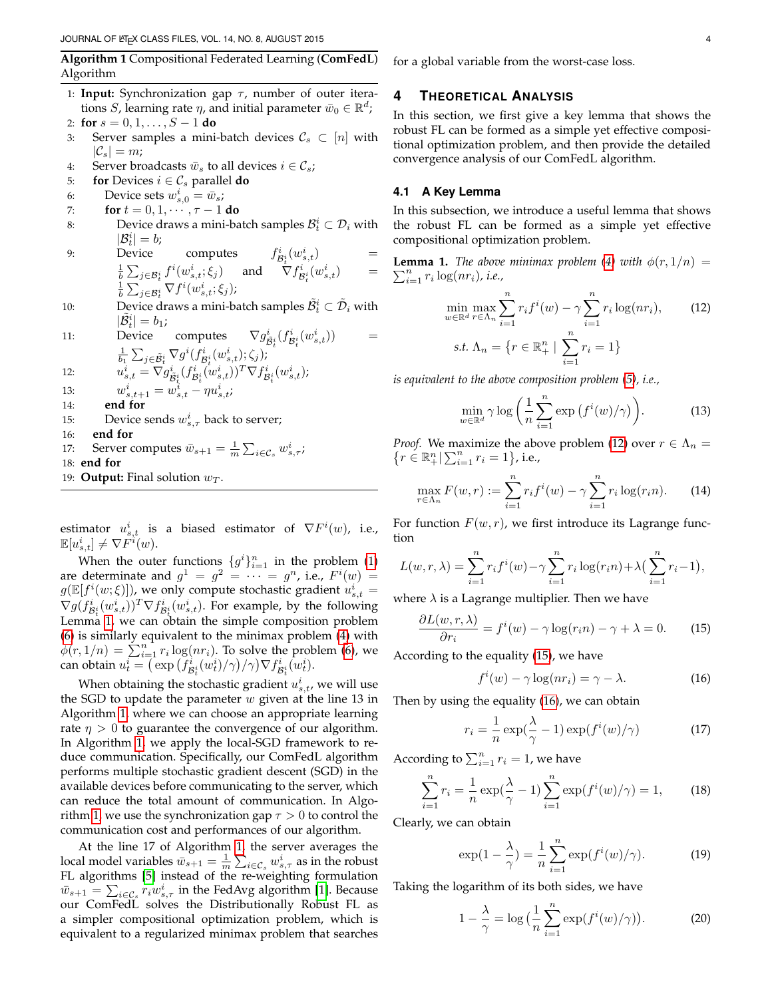<span id="page-3-2"></span>**Algorithm 1** Compositional Federated Learning (**ComFedL**) Algorithm

- 1: **Input:** Synchronization gap  $\tau$ , number of outer iterations S, learning rate  $\eta$ , and initial parameter  $\bar{w}_0 \in \mathbb{R}^d$ ;
- 2: **for**  $s = 0, 1, \ldots, S 1$  **do**
- 3: Server samples a mini-batch devices  $\mathcal{C}_s \subset [n]$  with  $|\mathcal{C}_s| = m$ ;
- 4: Server broadcasts  $\bar{w}_s$  to all devices  $i \in \mathcal{C}_s$ ;
- 5: **for** Devices  $i \in \mathcal{C}_s$  parallel **do**
- 6: Device sets  $w_{s,0}^i = \bar{w}_s$ ;
- 7: **for**  $t = 0, 1, \cdots, \tau 1$  **do**
- 8: Device draws a mini-batch samples  $\mathcal{B}_t^i \subset \mathcal{D}_i$  with  $|\mathcal{B}_t^i|=b;$
- 9: Device computes  $f_{\mathcal{B}_t^i}^i(w_{s,t}^i)$  =  $\frac{1}{b} \sum_{j \in \mathcal{B}_t^i} f^i(w_{s,t}^i; \xi_j)$  and  $\nabla f_{\mathcal{B}_t^i}^i(w_{s,t}^i)$  =  $\frac{1}{b}\sum_{j\in {\cal B}^i_t}\nabla f^i(w^i_{s,t};\xi_j);$
- 10: Device draws a mini-batch samples  $\tilde{\mathcal{B}}_t^i \subset \tilde{\mathcal{D}}_i$  with  $|\tilde{\mathcal{B}}_t^i|=b_1;$
- 11: Device computes  $i_{\tilde{\mathcal{B}}^i_t}(f^i_{\mathcal{B}^i_t}(w^i_{s,t}))$  =  $\frac{1}{b_1}\sum_{j\in \tilde{\mathcal{B}}^i_t}\nabla g^i(f^i_{\mathcal{B}^i_t}(w^i_{s,t});\zeta_j)$ ;

12: 
$$
u_{s,t}^i = \nabla g_{\tilde{\mathcal{B}}_t^i}^i (f_{\mathcal{B}_t^i}^i (w_{s,t}^i))^T \nabla f_{\mathcal{B}_t^i}^i (w_{s,t}^i);
$$

- 13:  $w_{s,t+1}^i = w_{s,t}^i \eta u_{s,t}^i;$
- 14: **end for**
- 15: Device sends  $w_{s,\tau}^{i}$  back to server;
- 16: **end for**
- 17: Server computes  $\bar{w}_{s+1} = \frac{1}{m} \sum_{i \in \mathcal{C}_s} w_{s,\tau}^i$ ;
- 18: **end for**
- 19: **Output:** Final solution  $w_T$ .

estimator  $u_{s,t}^i$  is a biased estimator of  $\nabla F^i(w)$ , i.e.,  $\mathbb{E}[u_{s,t}^i] \neq \nabla \tilde{F}^i(w).$ 

When the outer functions  $\{g^i\}_{i=1}^n$  in the problem [\(1\)](#page-0-1) are determinate and  $g^1 = g^2 = \cdots = g^n$ , i.e.,  $F^i(w) =$  $g(\mathbb{E}[f^i(w;\xi)])$ , we only compute stochastic gradient  $u^i_{s,t} =$  $\nabla g (f_{\mathcal{B}_{t}^{i}}^{i}(w_{s,t}^{i}))^{T} \nabla f_{\mathcal{B}_{t}^{i}}^{i}(w_{s,t}^{i})$ . For example, by the following Lemma [1,](#page-3-0) we can obtain the simple composition problem [\(6\)](#page-1-1) is similarly equivalent to the minimax problem [\(4\)](#page-0-0) with  $\phi(r,1/n) = \sum_{i=1}^{n} r_i \log(nr_i)$ . To solve the problem [\(6\)](#page-1-1), we can obtain  $u_t^i = \left(\overline{\exp\left(f^i_{\mathcal{B}_t^i}(w_t^i)/\gamma\right)}/\gamma\right) \nabla f^i_{\mathcal{B}_t^i}(\overline{w}_t^i)$ .

When obtaining the stochastic gradient  $u_{s,t}^i$ , we will use the SGD to update the parameter  $w$  given at the line 13 in Algorithm [1,](#page-3-2) where we can choose an appropriate learning rate  $\eta > 0$  to guarantee the convergence of our algorithm. In Algorithm [1,](#page-3-2) we apply the local-SGD framework to reduce communication. Specifically, our ComFedL algorithm performs multiple stochastic gradient descent (SGD) in the available devices before communicating to the server, which can reduce the total amount of communication. In Algo-rithm [1,](#page-3-2) we use the synchronization gap  $\tau > 0$  to control the communication cost and performances of our algorithm.

At the line 17 of Algorithm [1,](#page-3-2) the server averages the local model variables  $\bar{w}_{s+1} = \frac{1}{m} \sum_{i \in \mathcal{C}_s} w_{s,\tau}^i$  as in the robust FL algorithms [\[5\]](#page-8-4) instead of the re-weighting formulation  $\bar{w}_{s+1} = \sum_{i \in \mathcal{C}_s} r_i w_{s,\tau}^i$  in the FedAvg algorithm [\[1\]](#page-8-0). Because our ComFedL solves the Distributionally Robust FL as a simpler compositional optimization problem, which is equivalent to a regularized minimax problem that searches for a global variable from the worst-case loss.

# <span id="page-3-1"></span>**4 THEORETICAL ANALYSIS**

In this section, we first give a key lemma that shows the robust FL can be formed as a simple yet effective compositional optimization problem, and then provide the detailed convergence analysis of our ComFedL algorithm.

# **4.1 A Key Lemma**

In this subsection, we introduce a useful lemma that shows the robust FL can be formed as a simple yet effective compositional optimization problem.

<span id="page-3-0"></span>**Lemma 1.** The above minimax problem [\(4\)](#page-0-0) with  $\phi(r,1/n)$  =  $\sum_{i=1}^n r_i \log(nr_i)$ , i.e.,

<span id="page-3-3"></span>
$$
\min_{w \in \mathbb{R}^d} \max_{r \in \Lambda_n} \sum_{i=1}^n r_i f^i(w) - \gamma \sum_{i=1}^n r_i \log(nr_i),
$$
\n
$$
\text{s.t. } \Lambda_n = \left\{ r \in \mathbb{R}^n_+ \mid \sum_{i=1}^n r_i = 1 \right\}
$$
\n
$$
(12)
$$

*is equivalent to the above composition problem [\(5\)](#page-1-0), i.e.,*

<span id="page-3-7"></span>
$$
\min_{w \in \mathbb{R}^d} \gamma \log \left( \frac{1}{n} \sum_{i=1}^n \exp \left( f^i(w) / \gamma \right) \right).
$$
 (13)

*Proof.* We maximize the above problem [\(12\)](#page-3-3) over  $r \in \Lambda_n$  =  $\{r \in \mathbb{R}^n_+ | \sum_{i=1}^n r_i = 1\}$ , i.e.,

$$
\max_{r \in \Lambda_n} F(w, r) := \sum_{i=1}^n r_i f^i(w) - \gamma \sum_{i=1}^n r_i \log(r_i n). \tag{14}
$$

For function  $F(w, r)$ , we first introduce its Lagrange function

$$
L(w,r,\lambda) = \sum_{i=1}^{n} r_i f^{i}(w) - \gamma \sum_{i=1}^{n} r_i \log(r_i n) + \lambda \left(\sum_{i=1}^{n} r_i - 1\right),
$$

where  $\lambda$  is a Lagrange multiplier. Then we have

$$
\frac{\partial L(w, r, \lambda)}{\partial r_i} = f^i(w) - \gamma \log(r_i n) - \gamma + \lambda = 0. \tag{15}
$$

According to the equality [\(15\)](#page-3-4), we have

f

<span id="page-3-5"></span><span id="page-3-4"></span>
$$
f^{i}(w) - \gamma \log(nr_{i}) = \gamma - \lambda.
$$
 (16)

Then by using the equality [\(16\)](#page-3-5), we can obtain

$$
r_i = \frac{1}{n} \exp(\frac{\lambda}{\gamma} - 1) \exp(f^i(w)/\gamma)
$$
 (17)

According to  $\sum_{i=1}^{n} r_i = 1$ , we have

$$
\sum_{i=1}^{n} r_i = \frac{1}{n} \exp(\frac{\lambda}{\gamma} - 1) \sum_{i=1}^{n} \exp(f^i(w)/\gamma) = 1,
$$
 (18)

Clearly, we can obtain

$$
\exp(1 - \frac{\lambda}{\gamma}) = \frac{1}{n} \sum_{i=1}^{n} \exp(f^i(w)/\gamma).
$$
 (19)

Taking the logarithm of its both sides, we have

<span id="page-3-6"></span>
$$
1 - \frac{\lambda}{\gamma} = \log\left(\frac{1}{n}\sum_{i=1}^{n} \exp(f^i(w)/\gamma)\right).
$$
 (20)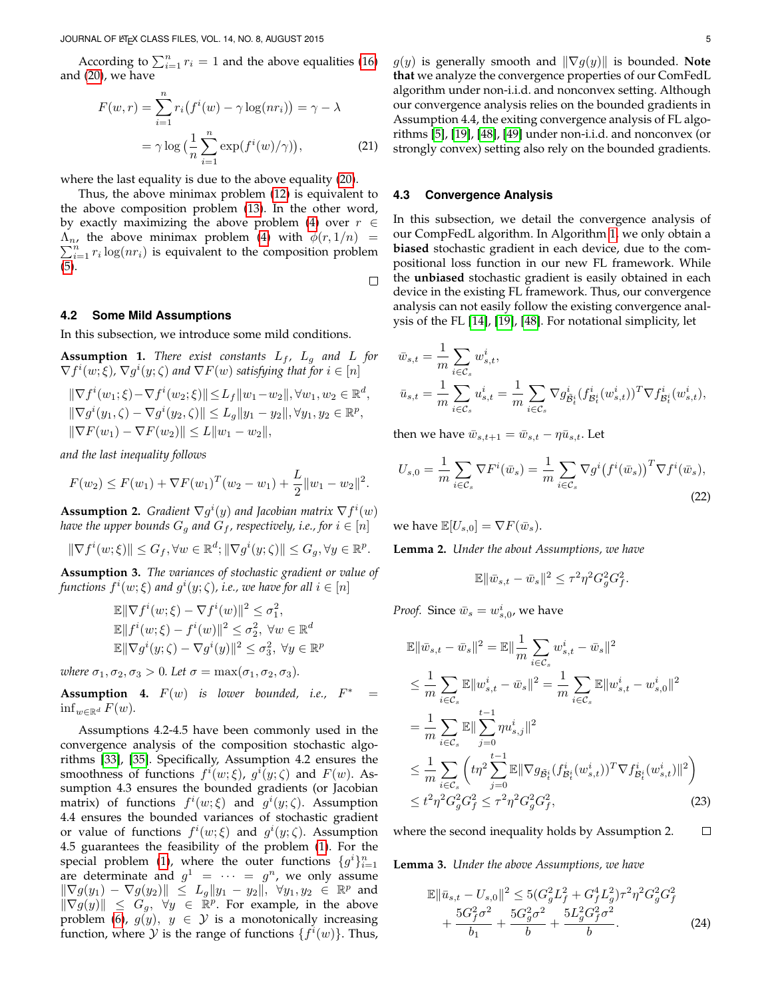According to  $\sum_{i=1}^{n} r_i = 1$  and the above equalities [\(16\)](#page-3-5) and [\(20\)](#page-3-6), we have

$$
F(w,r) = \sum_{i=1}^{n} r_i (f^i(w) - \gamma \log(nr_i)) = \gamma - \lambda
$$

$$
= \gamma \log \left( \frac{1}{n} \sum_{i=1}^{n} \exp(f^i(w)/\gamma) \right), \tag{21}
$$

where the last equality is due to the above equality [\(20\)](#page-3-6).

Thus, the above minimax problem [\(12\)](#page-3-3) is equivalent to the above composition problem [\(13\)](#page-3-7). In the other word, by exactly maximizing the above problem [\(4\)](#page-0-0) over  $r \in$  $\sum_{i=1}^{n} r_i \log(nr_i)$  is equivalent to the composition problem  $\Lambda_n$ , the above minimax problem [\(4\)](#page-0-0) with  $\phi(r, 1/n)$  = [\(5\)](#page-1-0).

 $\Box$ 

#### **4.2 Some Mild Assumptions**

In this subsection, we introduce some mild conditions.

**Assumption 1.** *There exist constants*  $L_f$ ,  $L_g$  *and*  $L$  *for*  $\nabla f^{i}(w;\xi)$ ,  $\nabla g^{i}(y;\zeta)$  and  $\nabla F(w)$  satisfying that for  $i \in [n]$ 

$$
\|\nabla f^{i}(w_{1}; \xi) - \nabla f^{i}(w_{2}; \xi)\| \le L_{f} \|w_{1} - w_{2}\|, \forall w_{1}, w_{2} \in \mathbb{R}^{d},
$$
  

$$
\|\nabla g^{i}(y_{1}, \zeta) - \nabla g^{i}(y_{2}, \zeta)\| \le L_{g} \|y_{1} - y_{2}\|, \forall y_{1}, y_{2} \in \mathbb{R}^{p},
$$
  

$$
\|\nabla F(w_{1}) - \nabla F(w_{2})\| \le L \|w_{1} - w_{2}\|,
$$

*and the last inequality follows*

$$
F(w_2) \le F(w_1) + \nabla F(w_1)^T (w_2 - w_1) + \frac{L}{2} ||w_1 - w_2||^2.
$$

**Assumption 2.** *Gradient*  $\nabla g^{i}(y)$  *and Jacobian matrix*  $\nabla f^{i}(w)$ *have the upper bounds*  $G_g$  *and*  $G_f$ *, respectively, i.e., for*  $i \in [n]$ 

 $\|\nabla f^{i}(w;\xi)\| \leq G_{f}, \forall w \in \mathbb{R}^{d}; \|\nabla g^{i}(y;\zeta)\| \leq G_{g}, \forall y \in \mathbb{R}^{p}.$ 

**Assumption 3.** *The variances of stochastic gradient or value of* functions  $f^i(w;\xi)$  and  $g^i(y;\zeta)$ , i.e., we have for all  $i\in [n]$ 

$$
\mathbb{E} \|\nabla f^i(w;\xi) - \nabla f^i(w)\|^2 \leq \sigma_1^2,
$$
  
\n
$$
\mathbb{E} \|f^i(w;\xi) - f^i(w)\|^2 \leq \sigma_2^2, \ \forall w \in \mathbb{R}^d
$$
  
\n
$$
\mathbb{E} \|\nabla g^i(y;\zeta) - \nabla g^i(y)\|^2 \leq \sigma_3^2, \ \forall y \in \mathbb{R}^p
$$

*where*  $\sigma_1, \sigma_2, \sigma_3 > 0$ *. Let*  $\sigma = \max(\sigma_1, \sigma_2, \sigma_3)$ *.* 

**Assumption 4.**  $F(w)$  *is lower bounded, i.e.,*  $F^* =$  $\inf_{w \in \mathbb{R}^d} F(w)$ .

Assumptions 4.2-4.5 have been commonly used in the convergence analysis of the composition stochastic algorithms [\[33\]](#page-9-1), [\[35\]](#page-9-3). Specifically, Assumption 4.2 ensures the smoothness of functions  $f^i(w;\xi)$ ,  $g^i(y;\zeta)$  and  $F(w)$ . Assumption 4.3 ensures the bounded gradients (or Jacobian matrix) of functions  $f^i(w;\xi)$  and  $g^i(y;\zeta)$ . Assumption 4.4 ensures the bounded variances of stochastic gradient or value of functions  $f^i(w;\xi)$  and  $g^i(y;\zeta)$ . Assumption 4.5 guarantees the feasibility of the problem [\(1\)](#page-0-1). For the special problem [\(1\)](#page-0-1), where the outer functions  $\{g^i\}_{i=1}^n$ are determinate and  $g^1 = \cdots = g^n$ , we only assume  $\|\nabla g(y_1) - \nabla g(y_2)\| \le L_g \|y_1 - y_2\|, \ \forall y_1, y_2 \in \mathbb{R}^p$  and  $\|\nabla g(y)\| \leq G_g$ ,  $\forall y \in \mathbb{R}^p$ . For example, in the above problem [\(6\)](#page-1-1),  $g(y)$ ,  $y \in Y$  is a monotonically increasing function, where  $\hat{y}$  is the range of functions  $\{f^i(w)\}$ . Thus,  $g(y)$  is generally smooth and  $\|\nabla g(y)\|$  is bounded. Note **that** we analyze the convergence properties of our ComFedL algorithm under non-i.i.d. and nonconvex setting. Although our convergence analysis relies on the bounded gradients in Assumption 4.4, the exiting convergence analysis of FL algorithms [\[5\]](#page-8-4), [\[19\]](#page-8-18), [\[48\]](#page-9-16), [\[49\]](#page-9-17) under non-i.i.d. and nonconvex (or strongly convex) setting also rely on the bounded gradients.

#### **4.3 Convergence Analysis**

In this subsection, we detail the convergence analysis of our CompFedL algorithm. In Algorithm [1,](#page-3-2) we only obtain a **biased** stochastic gradient in each device, due to the compositional loss function in our new FL framework. While the **unbiased** stochastic gradient is easily obtained in each device in the existing FL framework. Thus, our convergence analysis can not easily follow the existing convergence analysis of the FL [\[14\]](#page-8-13), [\[19\]](#page-8-18), [\[48\]](#page-9-16). For notational simplicity, let

$$
\begin{aligned} & \bar{w}_{s,t} = \frac{1}{m} \sum_{i \in \mathcal{C}_s} w^i_{s,t}, \\ & \bar{u}_{s,t} = \frac{1}{m} \sum_{i \in \mathcal{C}_s} u^i_{s,t} = \frac{1}{m} \sum_{i \in \mathcal{C}_s} \nabla g^i_{\mathcal{\tilde{B}}^i_t}(f^i_{\mathcal{B}^i_t}(w^i_{s,t}))^T \nabla f^i_{\mathcal{B}^i_t}(w^i_{s,t}), \end{aligned}
$$

then we have  $\bar{w}_{s,t+1} = \bar{w}_{s,t} - \eta \bar{u}_{s,t}$ . Let

$$
U_{s,0} = \frac{1}{m} \sum_{i \in \mathcal{C}_s} \nabla F^i(\bar{w}_s) = \frac{1}{m} \sum_{i \in \mathcal{C}_s} \nabla g^i (f^i(\bar{w}_s))^T \nabla f^i(\bar{w}_s),
$$
\n(22)

we have  $\mathbb{E}[U_{s,0}] = \nabla F(\bar{w}_s)$ .

<span id="page-4-1"></span>**Lemma 2.** *Under the about Assumptions, we have*

<span id="page-4-0"></span>
$$
\mathbb{E} \|\bar{w}_{s,t} - \bar{w}_s\|^2 \le \tau^2 \eta^2 G_g^2 G_f^2.
$$

*Proof.* Since  $\bar{w}_s = w^i_{s,0}$ , we have

$$
\mathbb{E} \|\bar{w}_{s,t} - \bar{w}_s\|^2 = \mathbb{E} \|\frac{1}{m} \sum_{i \in C_s} w_{s,t}^i - \bar{w}_s\|^2
$$
\n
$$
\leq \frac{1}{m} \sum_{i \in C_s} \mathbb{E} \|w_{s,t}^i - \bar{w}_s\|^2 = \frac{1}{m} \sum_{i \in C_s} \mathbb{E} \|w_{s,t}^i - w_{s,0}^i\|^2
$$
\n
$$
= \frac{1}{m} \sum_{i \in C_s} \mathbb{E} \|\sum_{j=0}^{t-1} \eta u_{s,j}^i\|^2
$$
\n
$$
\leq \frac{1}{m} \sum_{i \in C_s} \left( t\eta^2 \sum_{j=0}^{t-1} \mathbb{E} \|\nabla g_{\tilde{B}_t^i}(f_{\mathcal{B}_t^i}^i(w_{s,t}^i))^T \nabla f_{\mathcal{B}_t^i}^i(w_{s,t}^i) \|^2 \right)
$$
\n
$$
\leq t^2 \eta^2 G_g^2 G_f^2 \leq \tau^2 \eta^2 G_g^2 G_f^2, \tag{23}
$$

where the second inequality holds by Assumption 2.  $\Box$ 

<span id="page-4-2"></span>**Lemma 3.** *Under the above Assumptions, we have*

$$
\mathbb{E} \|\bar{u}_{s,t} - U_{s,0}\|^2 \le 5(G_g^2 L_f^2 + G_f^4 L_g^2) \tau^2 \eta^2 G_g^2 G_f^2 + \frac{5G_f^2 \sigma^2}{b_1} + \frac{5G_g^2 \sigma^2}{b} + \frac{5L_g^2 G_f^2 \sigma^2}{b}.
$$
 (24)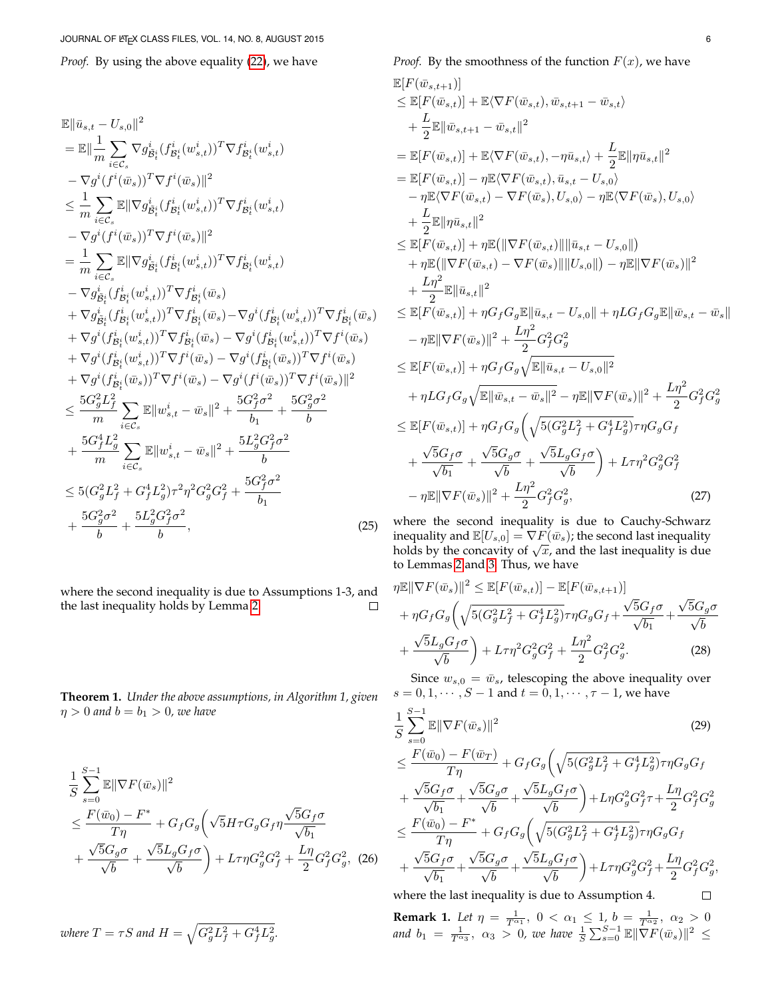*Proof.* By using the above equality [\(22\)](#page-4-0), we have

$$
\mathbb{E} \|\bar{u}_{s,t} - U_{s,0}\|^2
$$
\n
$$
= \mathbb{E} \|\frac{1}{m} \sum_{i \in \mathcal{C}_s} \nabla g_{\tilde{B}_i}^i (f_{\tilde{B}_i}^i (w_{s,t}^i))^T \nabla f_{\tilde{B}_i}^i (w_{s,t}^i)
$$
\n
$$
- \nabla g^i (f^i (\bar{w}_s))^T \nabla f^i (\bar{w}_s) \|^2
$$
\n
$$
\leq \frac{1}{m} \sum_{i \in \mathcal{C}_s} \mathbb{E} \|\nabla g_{\tilde{B}_i}^i (f_{\tilde{B}_i}^i (w_{s,t}^i))^T \nabla f_{\tilde{B}_i}^i (w_{s,t}^i)
$$
\n
$$
- \nabla g^i (f^i (\bar{w}_s))^T \nabla f^i (\bar{w}_s) \|^2
$$
\n
$$
= \frac{1}{m} \sum_{i \in \mathcal{C}_s} \mathbb{E} \|\nabla g_{\tilde{B}_i}^i (f_{\tilde{B}_i}^i (w_{s,t}^i))^T \nabla f_{\tilde{B}_i}^i (w_{s,t}^i)
$$
\n
$$
+ \nabla g_{\tilde{B}_i}^i (f_{\tilde{B}_i}^i (w_{s,t}^i))^T \nabla f_{\tilde{B}_i}^i (\bar{w}_s)
$$
\n
$$
+ \nabla g^i (f_{\tilde{B}_i}^i (w_{s,t}^i))^T \nabla f_{\tilde{B}_i}^i (\bar{w}_s) - \nabla g^i (f_{\tilde{B}_i}^i (w_{s,t}^i))^T \nabla f^i (\bar{w}_s)
$$
\n
$$
+ \nabla g^i (f_{\tilde{B}_i}^i (w_{s,t}^i))^T \nabla f^i (\bar{w}_s) - \nabla g^i (f_{\tilde{B}_i}^i (w_{s,t}^i))^T \nabla f^i (\bar{w}_s)
$$
\n
$$
+ \nabla g^i (f_{\tilde{B}_i}^i (w_{s,t}^i))^T \nabla f^i (\bar{w}_s) -
$$

where the second inequality is due to Assumptions 1-3, and the last inequality holds by Lemma [2.](#page-4-1)  $\Box$ 

**Theorem 1.** *Under the above assumptions, in Algorithm 1, given*  $\eta > 0$  and  $b = b_1 > 0$ , we have

$$
\frac{1}{S} \sum_{s=0}^{S-1} \mathbb{E} \|\nabla F(\bar{w}_s)\|^2
$$
\n
$$
\leq \frac{F(\bar{w}_0) - F^*}{T\eta} + G_f G_g \left(\sqrt{5}H\tau G_g G_f \eta \frac{\sqrt{5}G_f \sigma}{\sqrt{b_1}} + \frac{\sqrt{5}G_g \sigma}{\sqrt{b}} + \frac{\sqrt{5}L_g G_f \sigma}{\sqrt{b}}\right) + L\tau \eta G_g^2 G_f^2 + \frac{L\eta}{2} G_f^2 G_g^2, (26)
$$

where 
$$
T = \tau S
$$
 and  $H = \sqrt{G_g^2 L_f^2 + G_f^4 L_g^2}$ .

*Proof.* By the smoothness of the function  $F(x)$ , we have

$$
\mathbb{E}[F(\bar{w}_{s,t+1})] \leq \mathbb{E}[F(\bar{w}_{s,t})] + \mathbb{E}\langle \nabla F(\bar{w}_{s,t}), \bar{w}_{s,t+1} - \bar{w}_{s,t}\rangle \n+ \frac{L}{2}\mathbb{E}\|\bar{w}_{s,t+1} - \bar{w}_{s,t}\|^2 \n= \mathbb{E}[F(\bar{w}_{s,t})] + \mathbb{E}\langle \nabla F(\bar{w}_{s,t}), -\eta \bar{u}_{s,t}\rangle + \frac{L}{2}\mathbb{E}\|\eta \bar{u}_{s,t}\|^2 \n= \mathbb{E}[F(\bar{w}_{s,t})] - \eta \mathbb{E}\langle \nabla F(\bar{w}_{s,t}), \bar{u}_{s,t} - U_{s,0}\rangle \n- \eta \mathbb{E}\langle \nabla F(\bar{w}_{s,t}) - \nabla F(\bar{w}_{s}), U_{s,0}\rangle - \eta \mathbb{E}\langle \nabla F(\bar{w}_{s}), U_{s,0}\rangle \n+ \frac{L}{2}\mathbb{E}\|\eta \bar{u}_{s,t}\|^2 \n\leq \mathbb{E}[F(\bar{w}_{s,t})] + \eta \mathbb{E}\big(\|\nabla F(\bar{w}_{s,t})\|\|\bar{u}_{s,t} - U_{s,0}\|\big) \n+ \eta \mathbb{E}\big(\|\nabla F(\bar{w}_{s,t}) - \nabla F(\bar{w}_{s})\|\|\bar{u}_{s,0}\|\big) - \eta \mathbb{E}\|\nabla F(\bar{w}_{s})\|^2 \n+ \frac{L\eta^2}{2}\mathbb{E}\|\bar{u}_{s,t}\|^2 \n\leq \mathbb{E}[F(\bar{w}_{s,t})] + \eta G_f G_g \mathbb{E}\|\bar{u}_{s,t} - U_{s,0}\| + \eta LG_f G_g \mathbb{E}\|\bar{w}_{s,t} - \bar{w}_{s}\| \n- \eta \mathbb{E}\|\nabla F(\bar{w}_{s})\|^2 + \frac{L\eta^2}{2} G_f^2 G_g^2 \n\leq \mathbb{E}[F(\bar{w}_{s,t})] + \eta G_f G_g \sqrt{\mathbb{E}\|\bar{u}_{s,t} - U_{s,0}\|^2} \n+ \eta LG_f G_g \sqrt{\mathbb{E}\|\bar{u}_{s,t} - \bar{w}_{s}\|^2
$$

where the second inequality is due to Cauchy-Schwarz inequality and  $\mathbb{E}[U_{s,0}] = \nabla F(\bar{w}_s)$ ; the second last inequality mequality and  $\mathbb{E}[U_{s,0}] = \nabla F(w_s)$ ; the second last inequality<br>holds by the concavity of  $\sqrt{x}$ , and the last inequality is due to Lemmas [2](#page-4-1) and [3.](#page-4-2) Thus, we have

$$
\eta \mathbb{E} \|\nabla F(\bar{w}_s)\|^2 \le \mathbb{E}[F(\bar{w}_{s,t})] - \mathbb{E}[F(\bar{w}_{s,t+1})]
$$
  
+ 
$$
\eta G_f G_g \left( \sqrt{5(G_g^2 L_f^2 + G_f^4 L_g^2)} \tau \eta G_g G_f + \frac{\sqrt{5}G_f \sigma}{\sqrt{b_1}} + \frac{\sqrt{5}G_g \sigma}{\sqrt{b}} \right)
$$
  
+ 
$$
\frac{\sqrt{5}L_g G_f \sigma}{\sqrt{b}} \bigg) + L \tau \eta^2 G_g^2 G_f^2 + \frac{L\eta^2}{2} G_f^2 G_g^2. \tag{28}
$$

Since  $w_{s,0} = \bar{w}_s$ , telescoping the above inequality over  $s = 0, 1, \cdots, S - 1$  and  $t = 0, 1, \cdots, \tau - 1$ , we have

$$
\frac{1}{S} \sum_{s=0}^{S-1} \mathbb{E} \|\nabla F(\bar{w}_s)\|^2
$$
\n
$$
\leq \frac{F(\bar{w}_0) - F(\bar{w}_T)}{T\eta} + G_f G_g \left( \sqrt{5(G_g^2 L_f^2 + G_f^4 L_g^2)} \tau \eta G_g G_f
$$
\n
$$
+ \frac{\sqrt{5}G_f \sigma}{\sqrt{b_1}} + \frac{\sqrt{5}G_g \sigma}{\sqrt{b}} + \frac{\sqrt{5}L_g G_f \sigma}{\sqrt{b}} \right) + L \eta G_g^2 G_f^2 \tau + \frac{L \eta}{2} G_f^2 G_g^2
$$
\n
$$
\leq \frac{F(\bar{w}_0) - F^*}{T\eta} + G_f G_g \left( \sqrt{5(G_g^2 L_f^2 + G_f^4 L_g^2)} \tau \eta G_g G_f
$$
\n
$$
+ \frac{\sqrt{5}G_f \sigma}{\sqrt{b_1}} + \frac{\sqrt{5}G_g \sigma}{\sqrt{b}} + \frac{\sqrt{5}L_g G_f \sigma}{\sqrt{b}} \right) + L \tau \eta G_g^2 G_f^2 + \frac{L \eta}{2} G_f^2 G_g^2,
$$
\nwhere the last inequality is due to Assumption 4.

**Remark 1.** Let  $\eta = \frac{1}{T^{\alpha_1}}$ ,  $0 < \alpha_1 \leq 1$ ,  $b = \frac{1}{T^{\alpha_2}}$ ,  $\alpha_2 > 0$ and  $b_1 = \frac{1}{T^{\alpha_3}}$ ,  $\alpha_3 > 0$ , we have  $\frac{1}{S} \sum_{s=0}^{S-1} \mathbb{E} \|\nabla F(\bar{w}_s)\|^2 \leq$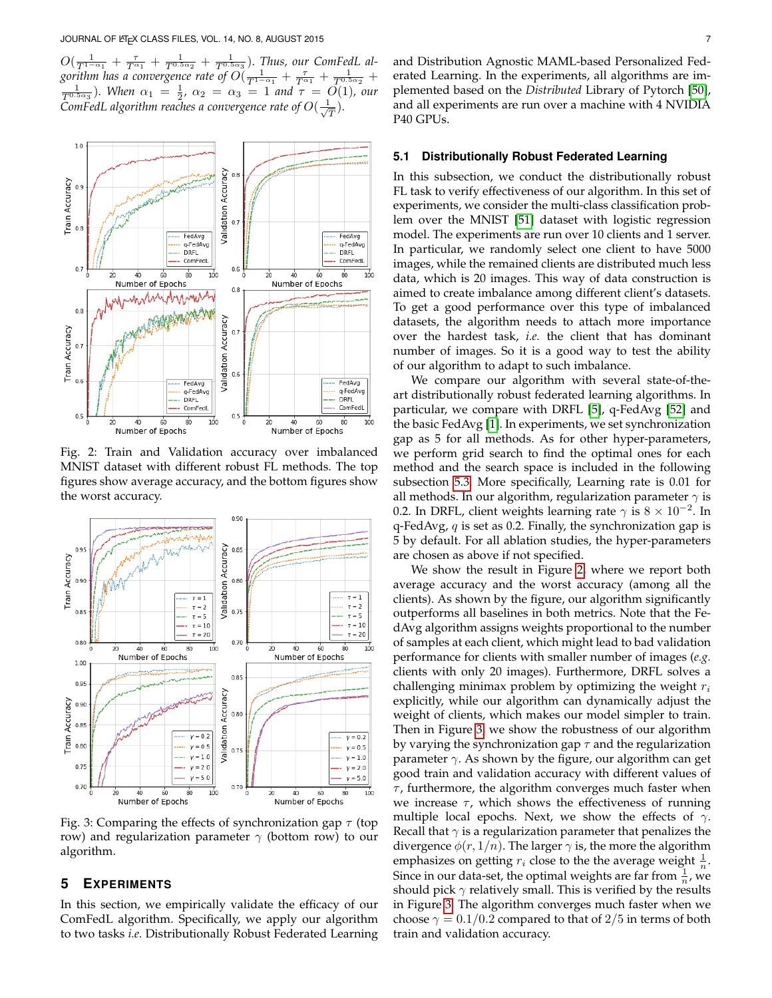$O(\frac{1}{T^{1-\alpha_1}}+\frac{\tau}{T^{\alpha_1}}+\frac{1}{T^{0.5\alpha_2}}+\frac{1}{T^{0.5\alpha_3}})$ . Thus, our ComFedL algorithm has a convergence rate of  $O(\frac{1}{T^{1-\alpha_1}}+\frac{\tau}{T^{\alpha_1}}+\frac{1}{T^{0.5\alpha_2}}+$  $\frac{1}{T^{0.5\alpha_3}}$ )*.* When  $\alpha_1 = \frac{1}{2}$ ,  $\alpha_2 = \alpha_3 = 1$  and  $\tau = O(1)$ , our  $\zeta$ omFedL algorithm reaches a convergence rate of  $O(\frac{-1}{\sqrt{2}})$ T )*.*

<span id="page-6-0"></span>

Fig. 2: Train and Validation accuracy over imbalanced MNIST dataset with different robust FL methods. The top figures show average accuracy, and the bottom figures show the worst accuracy.

<span id="page-6-1"></span>

Fig. 3: Comparing the effects of synchronization gap  $\tau$  (top row) and regularization parameter  $\gamma$  (bottom row) to our algorithm.

## **5 EXPERIMENTS**

In this section, we empirically validate the efficacy of our ComFedL algorithm. Specifically, we apply our algorithm to two tasks *i.e.* Distributionally Robust Federated Learning

## **5.1 Distributionally Robust Federated Learning**

In this subsection, we conduct the distributionally robust FL task to verify effectiveness of our algorithm. In this set of experiments, we consider the multi-class classification problem over the MNIST [\[51\]](#page-9-19) dataset with logistic regression model. The experiments are run over 10 clients and 1 server. In particular, we randomly select one client to have 5000 images, while the remained clients are distributed much less data, which is 20 images. This way of data construction is aimed to create imbalance among different client's datasets. To get a good performance over this type of imbalanced datasets, the algorithm needs to attach more importance over the hardest task, *i.e.* the client that has dominant number of images. So it is a good way to test the ability of our algorithm to adapt to such imbalance.

We compare our algorithm with several state-of-theart distributionally robust federated learning algorithms. In particular, we compare with DRFL [\[5\]](#page-8-4), q-FedAvg [\[52\]](#page-9-20) and the basic FedAvg [\[1\]](#page-8-0). In experiments, we set synchronization gap as 5 for all methods. As for other hyper-parameters, we perform grid search to find the optimal ones for each method and the search space is included in the following subsection [5.3.](#page-8-31) More specifically, Learning rate is 0.01 for all methods. In our algorithm, regularization parameter  $\gamma$  is 0.2. In DRFL, client weights learning rate  $\gamma$  is  $8 \times 10^{-2}$ . In q-FedAvg,  $q$  is set as 0.2. Finally, the synchronization gap is 5 by default. For all ablation studies, the hyper-parameters are chosen as above if not specified.

We show the result in Figure [2,](#page-6-0) where we report both average accuracy and the worst accuracy (among all the clients). As shown by the figure, our algorithm significantly outperforms all baselines in both metrics. Note that the FedAvg algorithm assigns weights proportional to the number of samples at each client, which might lead to bad validation performance for clients with smaller number of images (*e.g.* clients with only 20 images). Furthermore, DRFL solves a challenging minimax problem by optimizing the weight  $r_i$ explicitly, while our algorithm can dynamically adjust the weight of clients, which makes our model simpler to train. Then in Figure [3,](#page-6-1) we show the robustness of our algorithm by varying the synchronization gap  $\tau$  and the regularization parameter  $\gamma$ . As shown by the figure, our algorithm can get good train and validation accuracy with different values of  $\tau$ , furthermore, the algorithm converges much faster when we increase  $\tau$ , which shows the effectiveness of running multiple local epochs. Next, we show the effects of  $\gamma$ . Recall that  $\gamma$  is a regularization parameter that penalizes the divergence  $\phi(r, 1/n)$ . The larger  $\gamma$  is, the more the algorithm emphasizes on getting  $r_i$  close to the the average weight  $\frac{1}{n}$ . Since in our data-set, the optimal weights are far from  $\frac{1}{n}$ , we should pick  $\gamma$  relatively small. This is verified by the results in Figure [3.](#page-6-1) The algorithm converges much faster when we choose  $\gamma = 0.1/0.2$  compared to that of 2/5 in terms of both train and validation accuracy.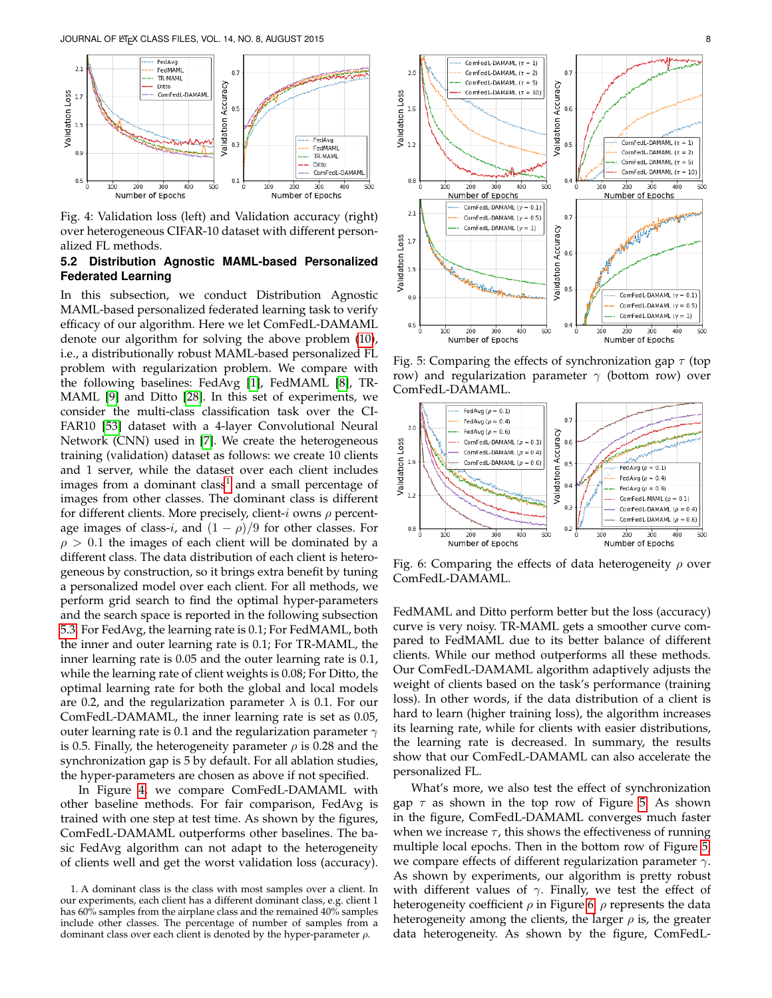<span id="page-7-1"></span>

Fig. 4: Validation loss (left) and Validation accuracy (right) over heterogeneous CIFAR-10 dataset with different personalized FL methods.

# **5.2 Distribution Agnostic MAML-based Personalized Federated Learning**

In this subsection, we conduct Distribution Agnostic MAML-based personalized federated learning task to verify efficacy of our algorithm. Here we let ComFedL-DAMAML denote our algorithm for solving the above problem [\(10\)](#page-1-5), i.e., a distributionally robust MAML-based personalized FL problem with regularization problem. We compare with the following baselines: FedAvg [\[1\]](#page-8-0), FedMAML [\[8\]](#page-8-7), TR-MAML [\[9\]](#page-8-8) and Ditto [\[28\]](#page-8-27). In this set of experiments, we consider the multi-class classification task over the CI-FAR10 [\[53\]](#page-9-21) dataset with a 4-layer Convolutional Neural Network (CNN) used in [\[7\]](#page-8-6). We create the heterogeneous training (validation) dataset as follows: we create 10 clients and 1 server, while the dataset over each client includes images from a dominant class<sup>[1](#page-7-0)</sup> and a small percentage of images from other classes. The dominant class is different for different clients. More precisely, client-i owns  $\rho$  percentage images of class-i, and  $(1 - \rho)/9$  for other classes. For  $\rho > 0.1$  the images of each client will be dominated by a different class. The data distribution of each client is heterogeneous by construction, so it brings extra benefit by tuning a personalized model over each client. For all methods, we perform grid search to find the optimal hyper-parameters and the search space is reported in the following subsection [5.3.](#page-8-31) For FedAvg, the learning rate is 0.1; For FedMAML, both the inner and outer learning rate is 0.1; For TR-MAML, the inner learning rate is 0.05 and the outer learning rate is 0.1, while the learning rate of client weights is 0.08; For Ditto, the optimal learning rate for both the global and local models are 0.2, and the regularization parameter  $\lambda$  is 0.1. For our ComFedL-DAMAML, the inner learning rate is set as 0.05, outer learning rate is 0.1 and the regularization parameter  $\gamma$ is 0.5. Finally, the heterogeneity parameter  $\rho$  is 0.28 and the synchronization gap is 5 by default. For all ablation studies, the hyper-parameters are chosen as above if not specified.

In Figure [4,](#page-7-1) we compare ComFedL-DAMAML with other baseline methods. For fair comparison, FedAvg is trained with one step at test time. As shown by the figures, ComFedL-DAMAML outperforms other baselines. The basic FedAvg algorithm can not adapt to the heterogeneity of clients well and get the worst validation loss (accuracy).

<span id="page-7-2"></span>

Fig. 5: Comparing the effects of synchronization gap  $\tau$  (top row) and regularization parameter  $\gamma$  (bottom row) over ComFedL-DAMAML.

<span id="page-7-3"></span>

Fig. 6: Comparing the effects of data heterogeneity  $\rho$  over ComFedL-DAMAML.

FedMAML and Ditto perform better but the loss (accuracy) curve is very noisy. TR-MAML gets a smoother curve compared to FedMAML due to its better balance of different clients. While our method outperforms all these methods. Our ComFedL-DAMAML algorithm adaptively adjusts the weight of clients based on the task's performance (training loss). In other words, if the data distribution of a client is hard to learn (higher training loss), the algorithm increases its learning rate, while for clients with easier distributions, the learning rate is decreased. In summary, the results show that our ComFedL-DAMAML can also accelerate the personalized FL.

What's more, we also test the effect of synchronization gap  $\tau$  as shown in the top row of Figure [5.](#page-7-2) As shown in the figure, ComFedL-DAMAML converges much faster when we increase  $\tau$ , this shows the effectiveness of running multiple local epochs. Then in the bottom row of Figure [5,](#page-7-2) we compare effects of different regularization parameter  $\gamma$ . As shown by experiments, our algorithm is pretty robust with different values of  $\gamma$ . Finally, we test the effect of heterogeneity coefficient  $\rho$  in Figure [6.](#page-7-3)  $\rho$  represents the data heterogeneity among the clients, the larger  $\rho$  is, the greater data heterogeneity. As shown by the figure, ComFedL-

<span id="page-7-0"></span><sup>1.</sup> A dominant class is the class with most samples over a client. In our experiments, each client has a different dominant class, e.g. client 1 has 60% samples from the airplane class and the remained 40% samples include other classes. The percentage of number of samples from a dominant class over each client is denoted by the hyper-parameter  $\rho$ .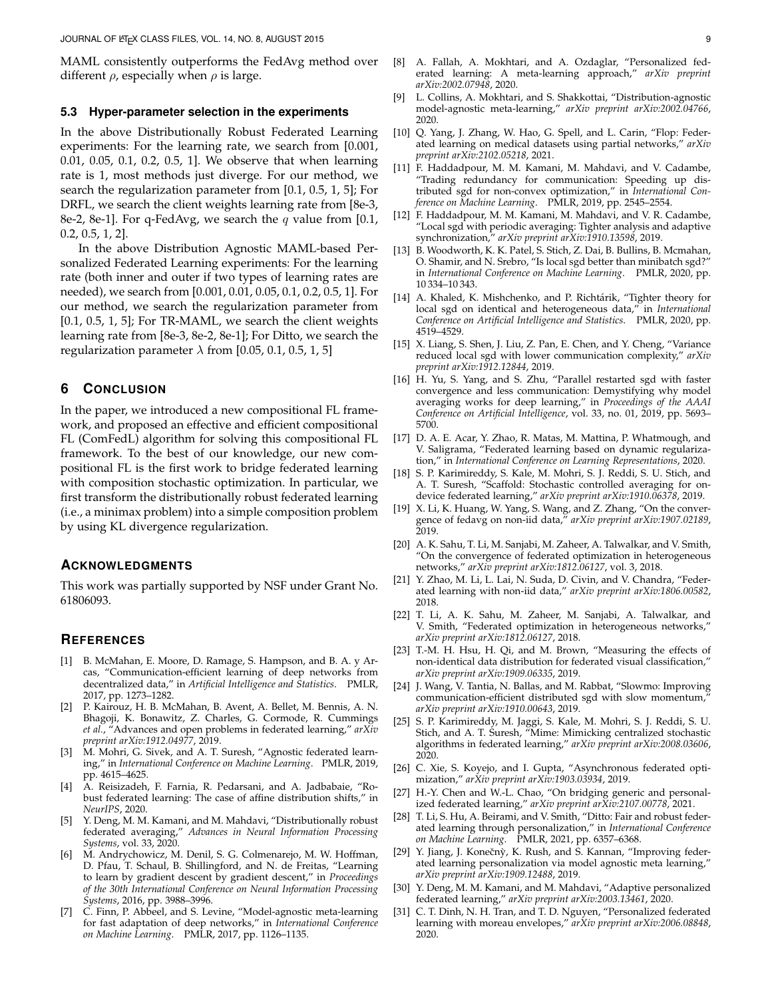MAML consistently outperforms the FedAvg method over different  $\rho$ , especially when  $\rho$  is large.

#### <span id="page-8-31"></span>**5.3 Hyper-parameter selection in the experiments**

In the above Distributionally Robust Federated Learning experiments: For the learning rate, we search from [0.001, 0.01, 0.05, 0.1, 0.2, 0.5, 1]. We observe that when learning rate is 1, most methods just diverge. For our method, we search the regularization parameter from [0.1, 0.5, 1, 5]; For DRFL, we search the client weights learning rate from [8e-3, 8e-2, 8e-1]. For q-FedAvg, we search the q value from [0.1, 0.2, 0.5, 1, 2].

In the above Distribution Agnostic MAML-based Personalized Federated Learning experiments: For the learning rate (both inner and outer if two types of learning rates are needed), we search from [0.001, 0.01, 0.05, 0.1, 0.2, 0.5, 1]. For our method, we search the regularization parameter from [0.1, 0.5, 1, 5]; For TR-MAML, we search the client weights learning rate from [8e-3, 8e-2, 8e-1]; For Ditto, we search the regularization parameter  $\lambda$  from [0.05, 0.1, 0.5, 1, 5]

# **6 CONCLUSION**

In the paper, we introduced a new compositional FL framework, and proposed an effective and efficient compositional FL (ComFedL) algorithm for solving this compositional FL framework. To the best of our knowledge, our new compositional FL is the first work to bridge federated learning with composition stochastic optimization. In particular, we first transform the distributionally robust federated learning (i.e., a minimax problem) into a simple composition problem by using KL divergence regularization.

#### **ACKNOWLEDGMENTS**

This work was partially supported by NSF under Grant No. 61806093.

#### **REFERENCES**

- <span id="page-8-0"></span>[1] B. McMahan, E. Moore, D. Ramage, S. Hampson, and B. A. y Arcas, "Communication-efficient learning of deep networks from decentralized data," in *Artificial Intelligence and Statistics*. PMLR, 2017, pp. 1273–1282.
- <span id="page-8-1"></span>[2] P. Kairouz, H. B. McMahan, B. Avent, A. Bellet, M. Bennis, A. N. Bhagoji, K. Bonawitz, Z. Charles, G. Cormode, R. Cummings *et al.*, "Advances and open problems in federated learning," *arXiv preprint arXiv:1912.04977*, 2019.
- <span id="page-8-2"></span>M. Mohri, G. Sivek, and A. T. Suresh, "Agnostic federated learning," in *International Conference on Machine Learning*. PMLR, 2019, pp. 4615–4625.
- <span id="page-8-3"></span>[4] A. Reisizadeh, F. Farnia, R. Pedarsani, and A. Jadbabaie, "Robust federated learning: The case of affine distribution shifts," in *NeurIPS*, 2020.
- <span id="page-8-4"></span>Y. Deng, M. M. Kamani, and M. Mahdavi, "Distributionally robust federated averaging," *Advances in Neural Information Processing Systems*, vol. 33, 2020.
- <span id="page-8-5"></span>[6] M. Andrychowicz, M. Denil, S. G. Colmenarejo, M. W. Hoffman, D. Pfau, T. Schaul, B. Shillingford, and N. de Freitas, "Learning to learn by gradient descent by gradient descent," in *Proceedings of the 30th International Conference on Neural Information Processing Systems*, 2016, pp. 3988–3996.
- <span id="page-8-6"></span>[7] C. Finn, P. Abbeel, and S. Levine, "Model-agnostic meta-learning for fast adaptation of deep networks," in *International Conference on Machine Learning*. PMLR, 2017, pp. 1126–1135.
- <span id="page-8-7"></span>[8] A. Fallah, A. Mokhtari, and A. Ozdaglar, "Personalized federated learning: A meta-learning approach," *arXiv preprint arXiv:2002.07948*, 2020.
- <span id="page-8-8"></span>[9] L. Collins, A. Mokhtari, and S. Shakkottai, "Distribution-agnostic model-agnostic meta-learning," *arXiv preprint arXiv:2002.04766*, 2020.
- <span id="page-8-9"></span>[10] Q. Yang, J. Zhang, W. Hao, G. Spell, and L. Carin, "Flop: Federated learning on medical datasets using partial networks," *arXiv preprint arXiv:2102.05218*, 2021.
- <span id="page-8-10"></span>[11] F. Haddadpour, M. M. Kamani, M. Mahdavi, and V. Cadambe, "Trading redundancy for communication: Speeding up distributed sgd for non-convex optimization," in *International Conference on Machine Learning*. PMLR, 2019, pp. 2545–2554.
- <span id="page-8-11"></span>[12] F. Haddadpour, M. M. Kamani, M. Mahdavi, and V. R. Cadambe, "Local sgd with periodic averaging: Tighter analysis and adaptive synchronization," *arXiv preprint arXiv:1910.13598*, 2019.
- <span id="page-8-12"></span>[13] B. Woodworth, K. K. Patel, S. Stich, Z. Dai, B. Bullins, B. Mcmahan, O. Shamir, and N. Srebro, "Is local sgd better than minibatch sgd?" in *International Conference on Machine Learning*. PMLR, 2020, pp. 10 334–10 343.
- <span id="page-8-13"></span>[14] A. Khaled, K. Mishchenko, and P. Richtárik, "Tighter theory for local sgd on identical and heterogeneous data," in *International Conference on Artificial Intelligence and Statistics*. PMLR, 2020, pp. 4519–4529.
- <span id="page-8-14"></span>[15] X. Liang, S. Shen, J. Liu, Z. Pan, E. Chen, and Y. Cheng, "Variance reduced local sgd with lower communication complexity," *arXiv preprint arXiv:1912.12844*, 2019.
- <span id="page-8-15"></span>[16] H. Yu, S. Yang, and S. Zhu, "Parallel restarted sgd with faster convergence and less communication: Demystifying why model averaging works for deep learning," in *Proceedings of the AAAI Conference on Artificial Intelligence*, vol. 33, no. 01, 2019, pp. 5693– 5700.
- <span id="page-8-16"></span>[17] D. A. E. Acar, Y. Zhao, R. Matas, M. Mattina, P. Whatmough, and V. Saligrama, "Federated learning based on dynamic regularization," in *International Conference on Learning Representations*, 2020.
- <span id="page-8-17"></span>[18] S. P. Karimireddy, S. Kale, M. Mohri, S. J. Reddi, S. U. Stich, and A. T. Suresh, "Scaffold: Stochastic controlled averaging for ondevice federated learning," *arXiv preprint arXiv:1910.06378*, 2019.
- <span id="page-8-18"></span>[19] X. Li, K. Huang, W. Yang, S. Wang, and Z. Zhang, "On the convergence of fedavg on non-iid data," *arXiv preprint arXiv:1907.02189*, 2019.
- <span id="page-8-19"></span>[20] A. K. Sahu, T. Li, M. Sanjabi, M. Zaheer, A. Talwalkar, and V. Smith, "On the convergence of federated optimization in heterogeneous networks," *arXiv preprint arXiv:1812.06127*, vol. 3, 2018.
- <span id="page-8-20"></span>[21] Y. Zhao, M. Li, L. Lai, N. Suda, D. Civin, and V. Chandra, "Federated learning with non-iid data," *arXiv preprint arXiv:1806.00582*, 2018.
- <span id="page-8-21"></span>[22] T. Li, A. K. Sahu, M. Zaheer, M. Sanjabi, A. Talwalkar, and V. Smith, "Federated optimization in heterogeneous networks," *arXiv preprint arXiv:1812.06127*, 2018.
- <span id="page-8-22"></span>[23] T.-M. H. Hsu, H. Qi, and M. Brown, "Measuring the effects of non-identical data distribution for federated visual classification," *arXiv preprint arXiv:1909.06335*, 2019.
- <span id="page-8-23"></span>[24] J. Wang, V. Tantia, N. Ballas, and M. Rabbat, "Slowmo: Improving communication-efficient distributed sgd with slow momentum, *arXiv preprint arXiv:1910.00643*, 2019.
- <span id="page-8-24"></span>[25] S. P. Karimireddy, M. Jaggi, S. Kale, M. Mohri, S. J. Reddi, S. U. Stich, and A. T. Suresh, "Mime: Mimicking centralized stochastic algorithms in federated learning," *arXiv preprint arXiv:2008.03606*, 2020.
- <span id="page-8-25"></span>[26] C. Xie, S. Koyejo, and I. Gupta, "Asynchronous federated optimization," *arXiv preprint arXiv:1903.03934*, 2019.
- <span id="page-8-26"></span>[27] H.-Y. Chen and W.-L. Chao, "On bridging generic and personalized federated learning," *arXiv preprint arXiv:2107.00778*, 2021.
- <span id="page-8-27"></span>[28] T. Li, S. Hu, A. Beirami, and V. Smith, "Ditto: Fair and robust federated learning through personalization," in *International Conference on Machine Learning*. PMLR, 2021, pp. 6357–6368.
- <span id="page-8-28"></span>[29] Y. Jiang, J. Konečnỳ, K. Rush, and S. Kannan, "Improving federated learning personalization via model agnostic meta learning," *arXiv preprint arXiv:1909.12488*, 2019.
- <span id="page-8-29"></span>[30] Y. Deng, M. M. Kamani, and M. Mahdavi, "Adaptive personalized federated learning," *arXiv preprint arXiv:2003.13461*, 2020.
- <span id="page-8-30"></span>[31] C. T. Dinh, N. H. Tran, and T. D. Nguyen, "Personalized federated learning with moreau envelopes," *arXiv preprint arXiv:2006.08848*, 2020.